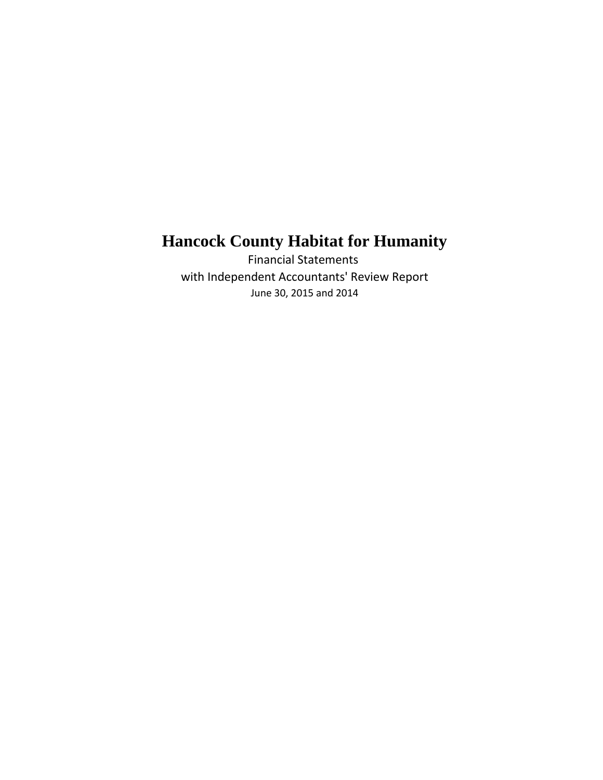# **Hancock County Habitat for Humanity**

Financial Statements with Independent Accountants' Review Report June 30, 2015 and 2014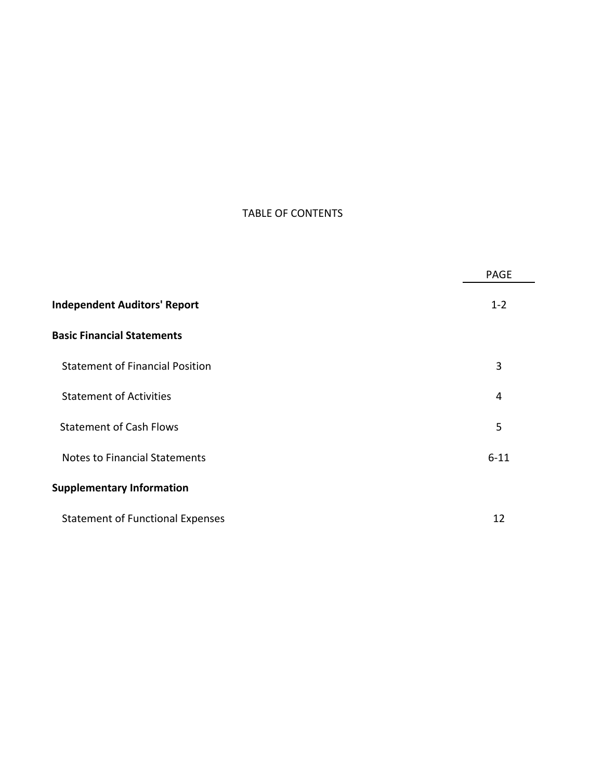## TABLE OF CONTENTS

|                                         | <b>PAGE</b> |
|-----------------------------------------|-------------|
| <b>Independent Auditors' Report</b>     | $1 - 2$     |
| <b>Basic Financial Statements</b>       |             |
| <b>Statement of Financial Position</b>  | 3           |
| <b>Statement of Activities</b>          | 4           |
| <b>Statement of Cash Flows</b>          | 5           |
| <b>Notes to Financial Statements</b>    | $6 - 11$    |
| <b>Supplementary Information</b>        |             |
| <b>Statement of Functional Expenses</b> | 12          |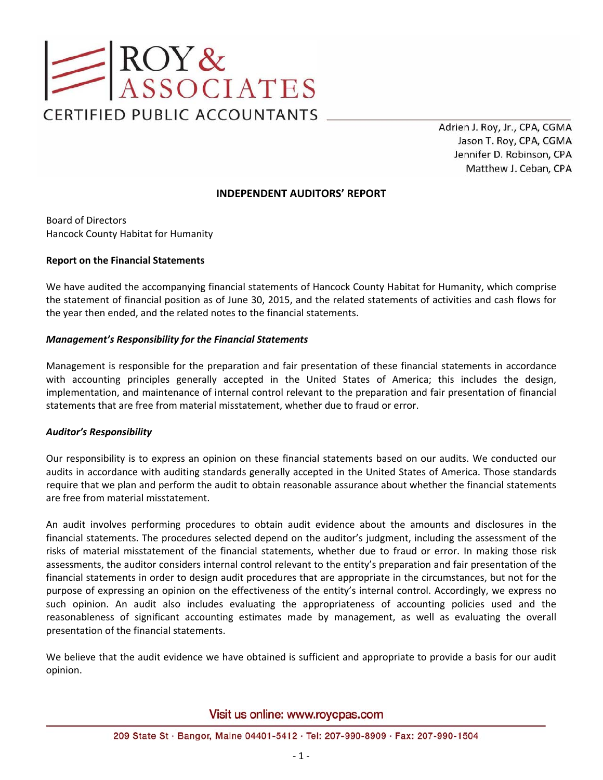

Adrien J. Roy, Jr., CPA, CGMA Jason T. Roy, CPA, CGMA Jennifer D. Robinson, CPA Matthew J. Ceban, CPA

#### **INDEPENDENT AUDITORS' REPORT**

Board of Directors Hancock County Habitat for Humanity

#### **Report on the Financial Statements**

We have audited the accompanying financial statements of Hancock County Habitat for Humanity, which comprise the statement of financial position as of June 30, 2015, and the related statements of activities and cash flows for the year then ended, and the related notes to the financial statements.

#### *Management's Responsibility for the Financial Statements*

Management is responsible for the preparation and fair presentation of these financial statements in accordance with accounting principles generally accepted in the United States of America; this includes the design, implementation, and maintenance of internal control relevant to the preparation and fair presentation of financial statements that are free from material misstatement, whether due to fraud or error.

#### *Auditor's Responsibility*

Our responsibility is to express an opinion on these financial statements based on our audits. We conducted our audits in accordance with auditing standards generally accepted in the United States of America. Those standards require that we plan and perform the audit to obtain reasonable assurance about whether the financial statements are free from material misstatement.

An audit involves performing procedures to obtain audit evidence about the amounts and disclosures in the financial statements. The procedures selected depend on the auditor's judgment, including the assessment of the risks of material misstatement of the financial statements, whether due to fraud or error. In making those risk assessments, the auditor considers internal control relevant to the entity's preparation and fair presentation of the financial statements in order to design audit procedures that are appropriate in the circumstances, but not for the purpose of expressing an opinion on the effectiveness of the entity's internal control. Accordingly, we express no such opinion. An audit also includes evaluating the appropriateness of accounting policies used and the reasonableness of significant accounting estimates made by management, as well as evaluating the overall presentation of the financial statements.

We believe that the audit evidence we have obtained is sufficient and appropriate to provide a basis for our audit opinion.

Visit us online: www.roycpas.com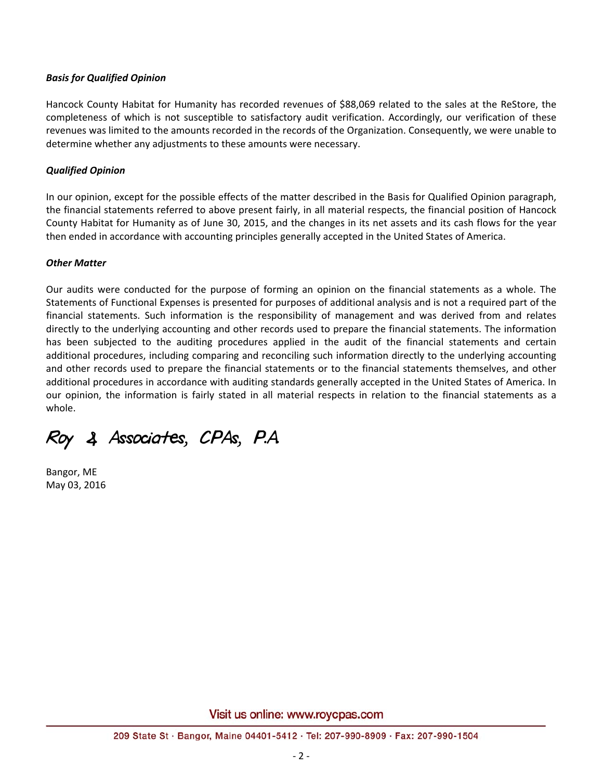#### *Basis for Qualified Opinion*

Hancock County Habitat for Humanity has recorded revenues of \$88,069 related to the sales at the ReStore, the completeness of which is not susceptible to satisfactory audit verification. Accordingly, our verification of these revenues was limited to the amounts recorded in the records of the Organization. Consequently, we were unable to determine whether any adjustments to these amounts were necessary.

#### *Qualified Opinion*

In our opinion, except for the possible effects of the matter described in the Basis for Qualified Opinion paragraph, the financial statements referred to above present fairly, in all material respects, the financial position of Hancock County Habitat for Humanity as of June 30, 2015, and the changes in its net assets and its cash flows for the year then ended in accordance with accounting principles generally accepted in the United States of America.

#### *Other Matter*

Our audits were conducted for the purpose of forming an opinion on the financial statements as a whole. The Statements of Functional Expenses is presented for purposes of additional analysis and is not a required part of the financial statements. Such information is the responsibility of management and was derived from and relates directly to the underlying accounting and other records used to prepare the financial statements. The information has been subjected to the auditing procedures applied in the audit of the financial statements and certain additional procedures, including comparing and reconciling such information directly to the underlying accounting and other records used to prepare the financial statements or to the financial statements themselves, and other additional procedures in accordance with auditing standards generally accepted in the United States of America. In our opinion, the information is fairly stated in all material respects in relation to the financial statements as a whole.

Roy & Associates, CPAs, P.A.

Bangor, ME May 03, 2016

Visit us online: www.roycpas.com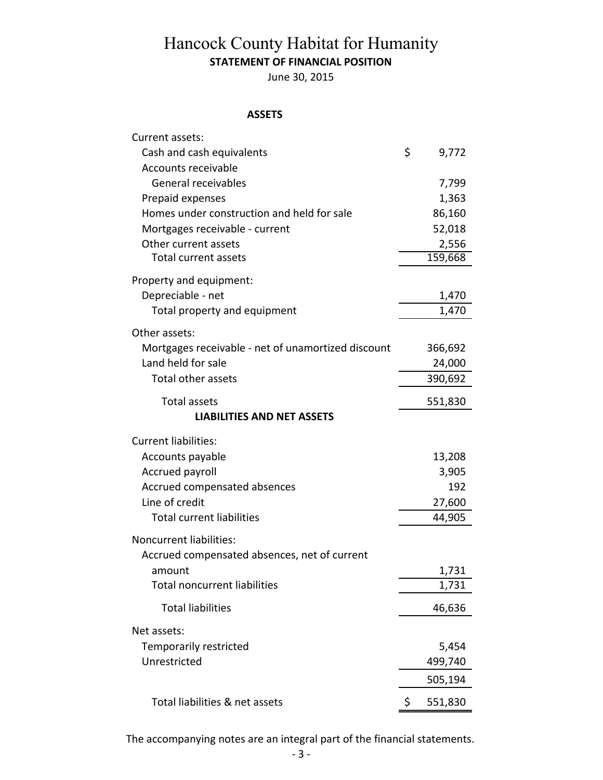# Hancock County Habitat for Humanity **STATEMENT OF FINANCIAL POSITION**

June 30, 2015

#### **ASSETS**

| Current assets:                                    |               |
|----------------------------------------------------|---------------|
| Cash and cash equivalents                          | \$<br>9,772   |
| Accounts receivable                                |               |
| General receivables                                | 7,799         |
| Prepaid expenses                                   | 1,363         |
| Homes under construction and held for sale         | 86,160        |
| Mortgages receivable - current                     | 52,018        |
| Other current assets                               | 2,556         |
| <b>Total current assets</b>                        | 159,668       |
| Property and equipment:                            |               |
| Depreciable - net                                  | 1,470         |
| Total property and equipment                       | 1,470         |
| Other assets:                                      |               |
| Mortgages receivable - net of unamortized discount | 366,692       |
| Land held for sale                                 | 24,000        |
| Total other assets                                 | 390,692       |
|                                                    |               |
| <b>Total assets</b>                                | 551,830       |
| <b>LIABILITIES AND NET ASSETS</b>                  |               |
| <b>Current liabilities:</b>                        |               |
| Accounts payable                                   | 13,208        |
| Accrued payroll                                    | 3,905         |
| Accrued compensated absences                       | 192           |
| Line of credit                                     | 27,600        |
| <b>Total current liabilities</b>                   | 44,905        |
| Noncurrent liabilities:                            |               |
| Accrued compensated absences, net of current       |               |
| amount                                             | 1,731         |
| <b>Total noncurrent liabilities</b>                | 1,731         |
| <b>Total liabilities</b>                           | 46,636        |
| Net assets:                                        |               |
| Temporarily restricted                             | 5,454         |
| Unrestricted                                       | 499,740       |
|                                                    | 505,194       |
| Total liabilities & net assets                     | \$<br>551,830 |
|                                                    |               |

The accompanying notes are an integral part of the financial statements.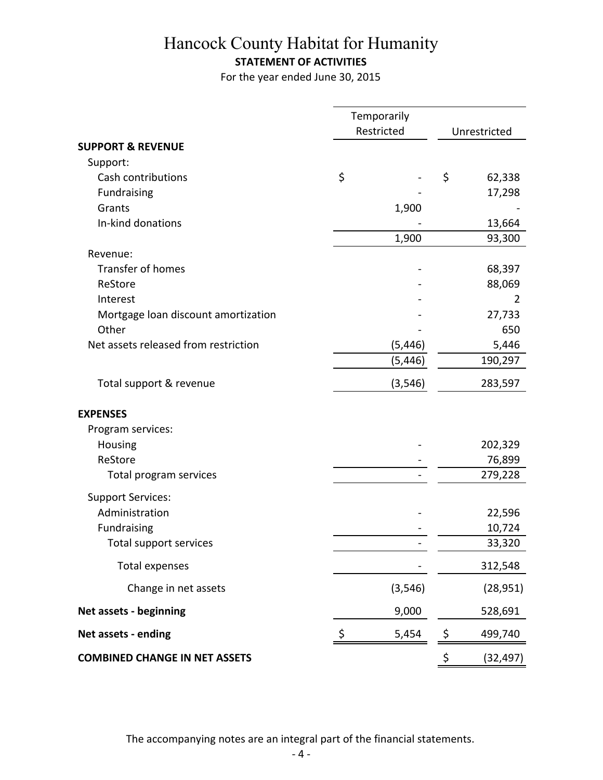# Hancock County Habitat for Humanity **STATEMENT OF ACTIVITIES**

For the year ended June 30, 2015

|                                      | Temporarily |              |                |
|--------------------------------------|-------------|--------------|----------------|
|                                      | Restricted  | Unrestricted |                |
| <b>SUPPORT &amp; REVENUE</b>         |             |              |                |
| Support:                             |             |              |                |
| Cash contributions                   | \$          | \$           | 62,338         |
| Fundraising                          |             |              | 17,298         |
| Grants                               | 1,900       |              |                |
| In-kind donations                    |             |              | 13,664         |
|                                      | 1,900       |              | 93,300         |
| Revenue:                             |             |              |                |
| Transfer of homes                    |             |              | 68,397         |
| ReStore                              |             |              | 88,069         |
| Interest                             |             |              | $\overline{2}$ |
| Mortgage loan discount amortization  |             |              | 27,733         |
| Other                                |             |              | 650            |
| Net assets released from restriction | (5, 446)    |              | 5,446          |
|                                      | (5, 446)    |              | 190,297        |
| Total support & revenue              | (3, 546)    |              | 283,597        |
| <b>EXPENSES</b>                      |             |              |                |
| Program services:                    |             |              |                |
| Housing                              |             |              | 202,329        |
| ReStore                              |             |              | 76,899         |
| Total program services               |             |              | 279,228        |
| <b>Support Services:</b>             |             |              |                |
| Administration                       |             |              | 22,596         |
| Fundraising                          |             |              | 10,724         |
| Total support services               |             |              | 33,320         |
| <b>Total expenses</b>                |             |              | 312,548        |
| Change in net assets                 | (3, 546)    |              | (28, 951)      |
| <b>Net assets - beginning</b>        | 9,000       |              | 528,691        |
| <b>Net assets - ending</b>           | \$<br>5,454 | \$           | 499,740        |
| <b>COMBINED CHANGE IN NET ASSETS</b> |             | \$           | (32, 497)      |

The accompanying notes are an integral part of the financial statements.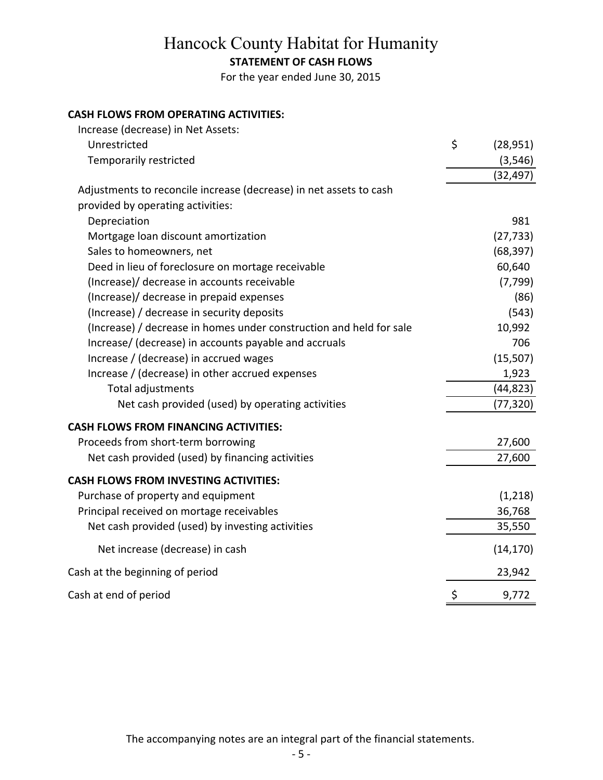# Hancock County Habitat for Humanity

**STATEMENT OF CASH FLOWS**

For the year ended June 30, 2015

### **CASH FLOWS FROM OPERATING ACTIVITIES:**

| Increase (decrease) in Net Assets:                                  |                 |
|---------------------------------------------------------------------|-----------------|
| Unrestricted                                                        | \$<br>(28, 951) |
| Temporarily restricted                                              | (3, 546)        |
|                                                                     | (32, 497)       |
| Adjustments to reconcile increase (decrease) in net assets to cash  |                 |
| provided by operating activities:                                   |                 |
| Depreciation                                                        | 981             |
| Mortgage loan discount amortization                                 | (27, 733)       |
| Sales to homeowners, net                                            | (68, 397)       |
| Deed in lieu of foreclosure on mortage receivable                   | 60,640          |
| (Increase)/ decrease in accounts receivable                         | (7, 799)        |
| (Increase)/ decrease in prepaid expenses                            | (86)            |
| (Increase) / decrease in security deposits                          | (543)           |
| (Increase) / decrease in homes under construction and held for sale | 10,992          |
| Increase/ (decrease) in accounts payable and accruals               | 706             |
| Increase / (decrease) in accrued wages                              | (15, 507)       |
| Increase / (decrease) in other accrued expenses                     | 1,923           |
| Total adjustments                                                   | (44, 823)       |
| Net cash provided (used) by operating activities                    | (77, 320)       |
| <b>CASH FLOWS FROM FINANCING ACTIVITIES:</b>                        |                 |
| Proceeds from short-term borrowing                                  | 27,600          |
| Net cash provided (used) by financing activities                    | 27,600          |
| <b>CASH FLOWS FROM INVESTING ACTIVITIES:</b>                        |                 |
| Purchase of property and equipment                                  | (1,218)         |
| Principal received on mortage receivables                           | 36,768          |
| Net cash provided (used) by investing activities                    | 35,550          |
| Net increase (decrease) in cash                                     | (14, 170)       |
| Cash at the beginning of period                                     | 23,942          |
| Cash at end of period                                               | \$<br>9,772     |

The accompanying notes are an integral part of the financial statements.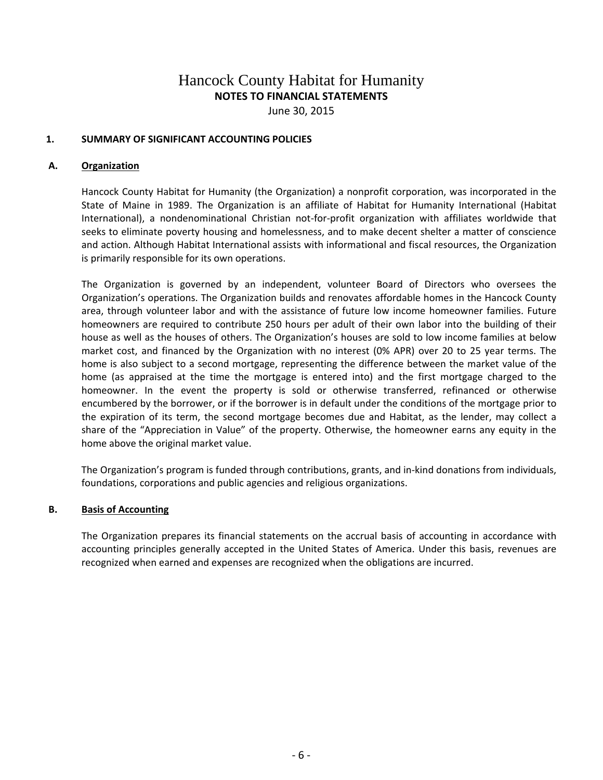## Hancock County Habitat for Humanity **NOTES TO FINANCIAL STATEMENTS** June 30, 2015

#### **1. SUMMARY OF SIGNIFICANT ACCOUNTING POLICIES**

#### **A. Organization**

Hancock County Habitat for Humanity (the Organization) a nonprofit corporation, was incorporated in the State of Maine in 1989. The Organization is an affiliate of Habitat for Humanity International (Habitat International), a nondenominational Christian not‐for‐profit organization with affiliates worldwide that seeks to eliminate poverty housing and homelessness, and to make decent shelter a matter of conscience and action. Although Habitat International assists with informational and fiscal resources, the Organization is primarily responsible for its own operations.

The Organization is governed by an independent, volunteer Board of Directors who oversees the Organization's operations. The Organization builds and renovates affordable homes in the Hancock County area, through volunteer labor and with the assistance of future low income homeowner families. Future homeowners are required to contribute 250 hours per adult of their own labor into the building of their house as well as the houses of others. The Organization's houses are sold to low income families at below market cost, and financed by the Organization with no interest (0% APR) over 20 to 25 year terms. The home is also subject to a second mortgage, representing the difference between the market value of the home (as appraised at the time the mortgage is entered into) and the first mortgage charged to the homeowner. In the event the property is sold or otherwise transferred, refinanced or otherwise encumbered by the borrower, or if the borrower is in default under the conditions of the mortgage prior to the expiration of its term, the second mortgage becomes due and Habitat, as the lender, may collect a share of the "Appreciation in Value" of the property. Otherwise, the homeowner earns any equity in the home above the original market value.

The Organization's program is funded through contributions, grants, and in‐kind donations from individuals, foundations, corporations and public agencies and religious organizations.

#### **B. Basis of Accounting**

The Organization prepares its financial statements on the accrual basis of accounting in accordance with accounting principles generally accepted in the United States of America. Under this basis, revenues are recognized when earned and expenses are recognized when the obligations are incurred.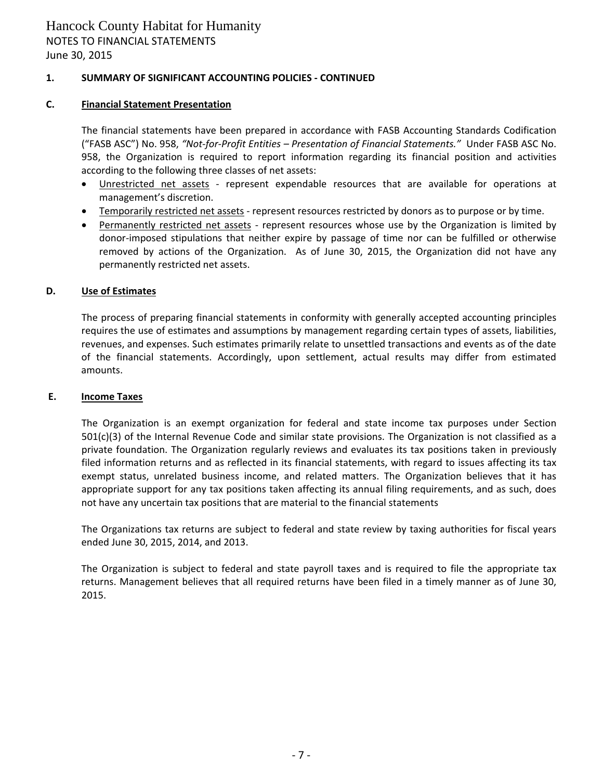#### **1. SUMMARY OF SIGNIFICANT ACCOUNTING POLICIES ‐ CONTINUED**

#### **C. Financial Statement Presentation**

The financial statements have been prepared in accordance with FASB Accounting Standards Codification ("FASB ASC") No. 958, *"Not‐for‐Profit Entities – Presentation of Financial Statements."* Under FASB ASC No. 958, the Organization is required to report information regarding its financial position and activities according to the following three classes of net assets:

- Unrestricted net assets represent expendable resources that are available for operations at management's discretion.
- Temporarily restricted net assets represent resources restricted by donors as to purpose or by time.
- Permanently restricted net assets represent resources whose use by the Organization is limited by donor‐imposed stipulations that neither expire by passage of time nor can be fulfilled or otherwise removed by actions of the Organization. As of June 30, 2015, the Organization did not have any permanently restricted net assets.

#### **D. Use of Estimates**

The process of preparing financial statements in conformity with generally accepted accounting principles requires the use of estimates and assumptions by management regarding certain types of assets, liabilities, revenues, and expenses. Such estimates primarily relate to unsettled transactions and events as of the date of the financial statements. Accordingly, upon settlement, actual results may differ from estimated amounts.

#### **E. Income Taxes**

The Organization is an exempt organization for federal and state income tax purposes under Section 501(c)(3) of the Internal Revenue Code and similar state provisions. The Organization is not classified as a private foundation. The Organization regularly reviews and evaluates its tax positions taken in previously filed information returns and as reflected in its financial statements, with regard to issues affecting its tax exempt status, unrelated business income, and related matters. The Organization believes that it has appropriate support for any tax positions taken affecting its annual filing requirements, and as such, does not have any uncertain tax positions that are material to the financial statements

The Organizations tax returns are subject to federal and state review by taxing authorities for fiscal years ended June 30, 2015, 2014, and 2013.

The Organization is subject to federal and state payroll taxes and is required to file the appropriate tax returns. Management believes that all required returns have been filed in a timely manner as of June 30, 2015.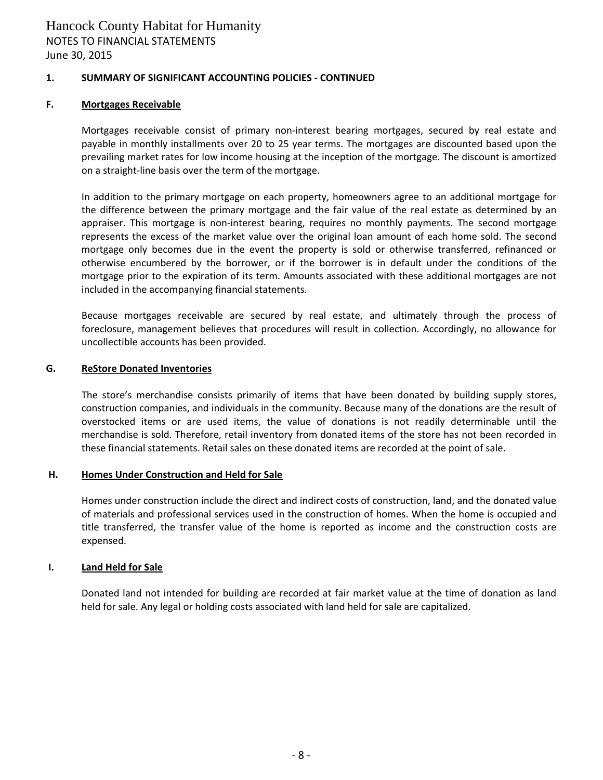#### **1. SUMMARY OF SIGNIFICANT ACCOUNTING POLICIES ‐ CONTINUED**

#### **F. Mortgages Receivable**

Mortgages receivable consist of primary non-interest bearing mortgages, secured by real estate and payable in monthly installments over 20 to 25 year terms. The mortgages are discounted based upon the prevailing market rates for low income housing at the inception of the mortgage. The discount is amortized on a straight‐line basis over the term of the mortgage.

In addition to the primary mortgage on each property, homeowners agree to an additional mortgage for the difference between the primary mortgage and the fair value of the real estate as determined by an appraiser. This mortgage is non-interest bearing, requires no monthly payments. The second mortgage represents the excess of the market value over the original loan amount of each home sold. The second mortgage only becomes due in the event the property is sold or otherwise transferred, refinanced or otherwise encumbered by the borrower, or if the borrower is in default under the conditions of the mortgage prior to the expiration of its term. Amounts associated with these additional mortgages are not included in the accompanying financial statements.

Because mortgages receivable are secured by real estate, and ultimately through the process of foreclosure, management believes that procedures will result in collection. Accordingly, no allowance for uncollectible accounts has been provided.

#### **G. ReStore Donated Inventories**

The store's merchandise consists primarily of items that have been donated by building supply stores, construction companies, and individuals in the community. Because many of the donations are the result of overstocked items or are used items, the value of donations is not readily determinable until the merchandise is sold. Therefore, retail inventory from donated items of the store has not been recorded in these financial statements. Retail sales on these donated items are recorded at the point of sale.

#### **H. Homes Under Construction and Held for Sale**

Homes under construction include the direct and indirect costs of construction, land, and the donated value of materials and professional services used in the construction of homes. When the home is occupied and title transferred, the transfer value of the home is reported as income and the construction costs are expensed.

#### **I. Land Held for Sale**

Donated land not intended for building are recorded at fair market value at the time of donation as land held for sale. Any legal or holding costs associated with land held for sale are capitalized.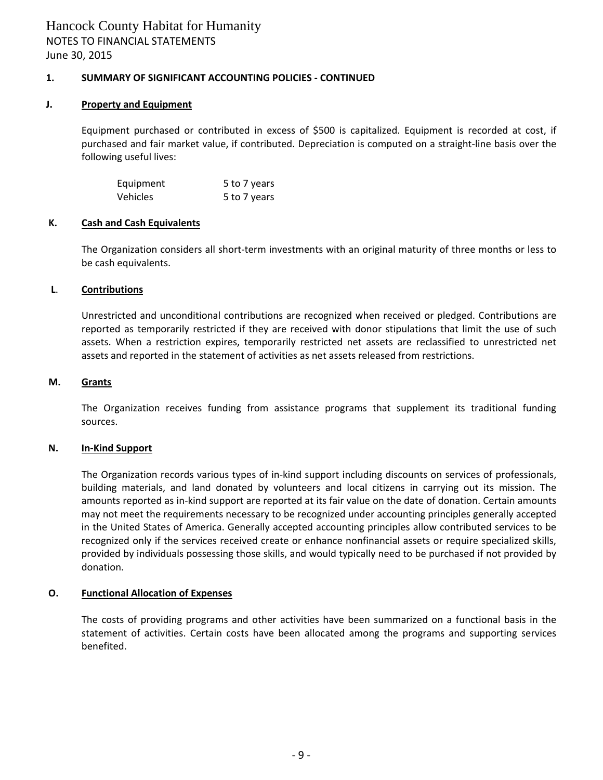#### **1. SUMMARY OF SIGNIFICANT ACCOUNTING POLICIES ‐ CONTINUED**

#### **J. Property and Equipment**

Equipment purchased or contributed in excess of \$500 is capitalized. Equipment is recorded at cost, if purchased and fair market value, if contributed. Depreciation is computed on a straight‐line basis over the following useful lives:

| Equipment       | 5 to 7 years |
|-----------------|--------------|
| <b>Vehicles</b> | 5 to 7 years |

#### **K. Cash and Cash Equivalents**

The Organization considers all short-term investments with an original maturity of three months or less to be cash equivalents.

#### **L**. **Contributions**

Unrestricted and unconditional contributions are recognized when received or pledged. Contributions are reported as temporarily restricted if they are received with donor stipulations that limit the use of such assets. When a restriction expires, temporarily restricted net assets are reclassified to unrestricted net assets and reported in the statement of activities as net assets released from restrictions.

#### **M. Grants**

The Organization receives funding from assistance programs that supplement its traditional funding sources.

#### **N. In‐Kind Support**

The Organization records various types of in‐kind support including discounts on services of professionals, building materials, and land donated by volunteers and local citizens in carrying out its mission. The amounts reported as in-kind support are reported at its fair value on the date of donation. Certain amounts may not meet the requirements necessary to be recognized under accounting principles generally accepted in the United States of America. Generally accepted accounting principles allow contributed services to be recognized only if the services received create or enhance nonfinancial assets or require specialized skills, provided by individuals possessing those skills, and would typically need to be purchased if not provided by donation.

#### **O. Functional Allocation of Expenses**

The costs of providing programs and other activities have been summarized on a functional basis in the statement of activities. Certain costs have been allocated among the programs and supporting services benefited.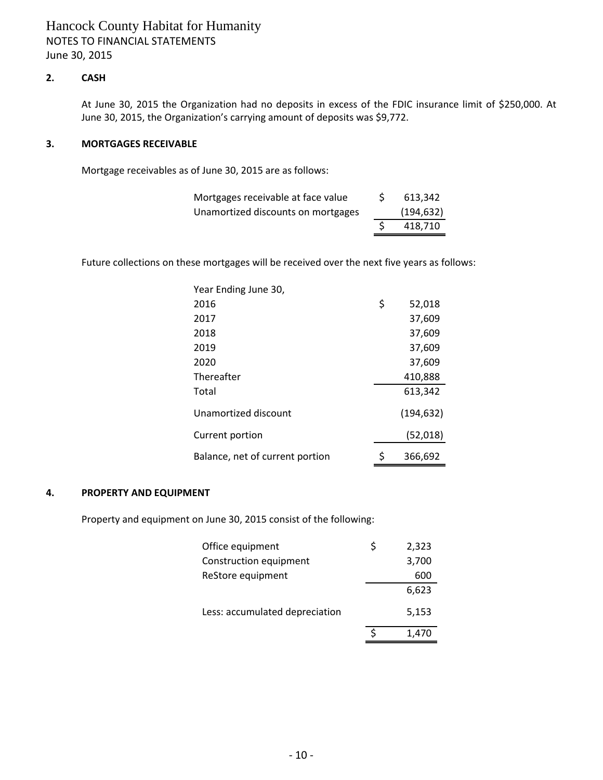### Hancock County Habitat for Humanity NOTES TO FINANCIAL STATEMENTS June 30, 2015

#### **2. CASH**

At June 30, 2015 the Organization had no deposits in excess of the FDIC insurance limit of \$250,000. At June 30, 2015, the Organization's carrying amount of deposits was \$9,772.

#### **3. MORTGAGES RECEIVABLE**

Mortgage receivables as of June 30, 2015 are as follows:

| Mortgages receivable at face value | 613.342    |
|------------------------------------|------------|
| Unamortized discounts on mortgages | (194, 632) |
|                                    | 418.710    |

Future collections on these mortgages will be received over the next five years as follows:

| Year Ending June 30,            |               |
|---------------------------------|---------------|
| 2016                            | \$<br>52,018  |
| 2017                            | 37,609        |
| 2018                            | 37,609        |
| 2019                            | 37,609        |
| 2020                            | 37,609        |
| Thereafter                      | 410,888       |
| Total                           | 613,342       |
| Unamortized discount            | (194, 632)    |
| Current portion                 | (52,018)      |
| Balance, net of current portion | \$<br>366,692 |

#### **4. PROPERTY AND EQUIPMENT**

Property and equipment on June 30, 2015 consist of the following:

| Office equipment               | S | 2,323 |
|--------------------------------|---|-------|
| Construction equipment         |   | 3,700 |
| ReStore equipment              |   | 600   |
|                                |   | 6,623 |
| Less: accumulated depreciation |   | 5,153 |
|                                |   | 1.470 |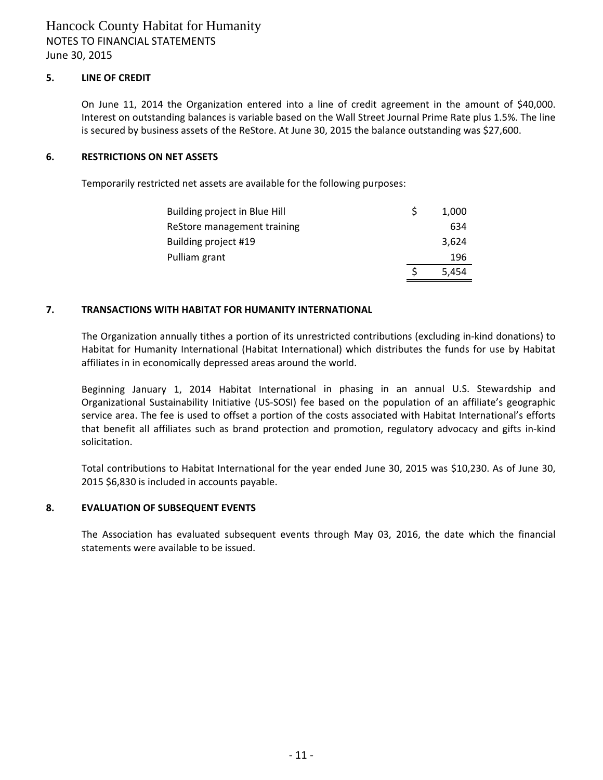## Hancock County Habitat for Humanity NOTES TO FINANCIAL STATEMENTS June 30, 2015

#### **5. LINE OF CREDIT**

On June 11, 2014 the Organization entered into a line of credit agreement in the amount of \$40,000. Interest on outstanding balances is variable based on the Wall Street Journal Prime Rate plus 1.5%. The line is secured by business assets of the ReStore. At June 30, 2015 the balance outstanding was \$27,600.

#### **6. RESTRICTIONS ON NET ASSETS**

Temporarily restricted net assets are available for the following purposes:

| Building project in Blue Hill | 1.000 |
|-------------------------------|-------|
| ReStore management training   | 634   |
| Building project #19          | 3.624 |
| Pulliam grant                 | 196   |
|                               | 5.454 |

#### **7. TRANSACTIONS WITH HABITAT FOR HUMANITY INTERNATIONAL**

The Organization annually tithes a portion of its unrestricted contributions (excluding in‐kind donations) to Habitat for Humanity International (Habitat International) which distributes the funds for use by Habitat affiliates in in economically depressed areas around the world.

Beginning January 1, 2014 Habitat International in phasing in an annual U.S. Stewardship and Organizational Sustainability Initiative (US‐SOSI) fee based on the population of an affiliate's geographic service area. The fee is used to offset a portion of the costs associated with Habitat International's efforts that benefit all affiliates such as brand protection and promotion, regulatory advocacy and gifts in‐kind solicitation.

Total contributions to Habitat International for the year ended June 30, 2015 was \$10,230. As of June 30, 2015 \$6,830 is included in accounts payable.

#### **8. EVALUATION OF SUBSEQUENT EVENTS**

The Association has evaluated subsequent events through May 03, 2016, the date which the financial statements were available to be issued.